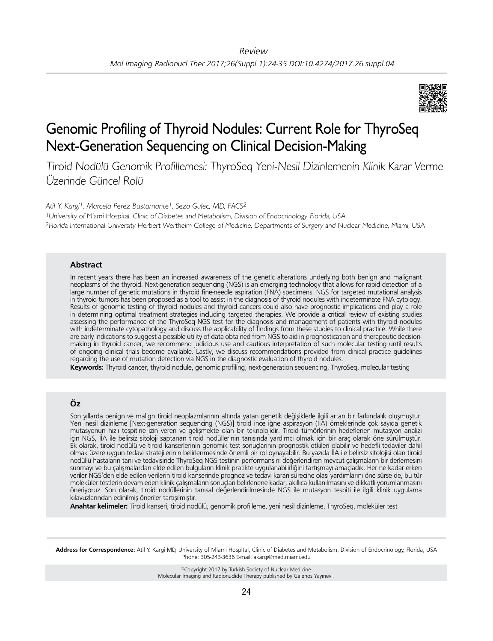

# Genomic Profiling of Thyroid Nodules: Current Role for ThyroSeq Next-Generation Sequencing on Clinical Decision-Making

Tiroid Nodülü Genomik Profillemesi: ThyroSeq Yeni-Nesil Dizinlemenin Klinik Karar Verme Üzerinde Güncel Rolü

*Atil Y. Kargi1, Marcela Perez Bustamante1, Seza Gulec, MD, FACS2*

<sup>1</sup>University of Miami Hospital, Clinic of Diabetes and Metabolism, Division of Endocrinology, Florida, USA <sup>2</sup>Florida International University Herbert Wertheim College of Medicine, Departments of Surgery and Nuclear Medicine, Miami, USA

#### **Abstract**

In recent years there has been an increased awareness of the genetic alterations underlying both benign and malignant neoplasms of the thyroid. Next-generation sequencing (NGS) is an emerging technology that allows for rapid detection of a large number of genetic mutations in thyroid fine-needle aspiration (FNA) specimens. NGS for targeted mutational analysis in thyroid tumors has been proposed as a tool to assist in the diagnosis of thyroid nodules with indeterminate FNA cytology. Results of genomic testing of thyroid nodules and thyroid cancers could also have prognostic implications and play a role in determining optimal treatment strategies including targeted therapies. We provide a critical review of existing studies assessing the performance of the ThyroSeq NGS test for the diagnosis and management of patients with thyroid nodules with indeterminate cytopathology and discuss the applicability of findings from these studies to clinical practice. While there are early indications to suggest a possible utility of data obtained from NGS to aid in prognostication and therapeutic decisionmaking in thyroid cancer, we recommend judicious use and cautious interpretation of such molecular testing until results of ongoing clinical trials become available. Lastly, we discuss recommendations provided from clinical practice guidelines regarding the use of mutation detection via NGS in the diagnostic evaluation of thyroid nodules.

**Keywords:** Thyroid cancer, thyroid nodule, genomic profiling, next-generation sequencing, ThyroSeq, molecular testing

## **Öz**

Son yıllarda benign ve malign tiroid neoplazmlarının altında yatan genetik değişiklerle ilgili artan bir farkındalık oluşmuştur. Yeni nesil dizinleme [Next-generation sequencing (NGS)] tiroid ince iğne aspirasyon (İİA) örneklerinde çok sayıda genetik mutasyonun hızlı tespitine izin veren ve gelişmekte olan bir teknolojidir. Tiroid tümörlerinin hedeflenen mutasyon analizi için NGS, İİA ile belirsiz sitoloji saptanan tiroid nodüllerinin tanısında yardımcı olmak için bir araç olarak öne sürülmüştür. Ek olarak, tiroid nodülü ve tiroid kanserlerinin genomik test sonuçlarının prognostik etkileri olabilir ve hedefli tedaviler dahil olmak üzere uygun tedavi stratejilerinin belirlenmesinde önemli bir rol oynayabilir. Bu yazıda İİA ile belirsiz sitolojisi olan tiroid nodüllü hastaların tanı ve tedavisinde ThyroSeq NGS testinin performansını değerlendiren mevcut çalışmaların bir derlemesini sunmayı ve bu çalışmalardan elde edilen bulguların klinik pratikte uygulanabilirliğini tartışmayı amaçladık. Her ne kadar erken veriler NGS'den elde edilen verilerin tiroid kanserinde prognoz ve tedavi kararı sürecine olası yardımlarını öne sürse de, bu tür moleküler testlerin devam eden klinik çalışmaların sonuçları belirlenene kadar, akıllıca kullanılmasını ve dikkatli yorumlanmasını öneriyoruz. Son olarak, tiroid nodüllerinin tanısal değerlendirilmesinde NGS ile mutasyon tespiti ile ilgili klinik uygulama kılavuzlarından edinilmiş öneriler tartışılmıştır.

**Anahtar kelimeler:** Tiroid kanseri, tiroid nodülü, genomik profilleme, yeni nesil dizinleme, ThyroSeq, moleküler test

**Address for Correspondence:** Atil Y. Kargi MD, University of Miami Hospital, Clinic of Diabetes and Metabolism, Division of Endocrinology, Florida, USA Phone: 305-243-3636 E-mail: akargi@med.miami.edu

> ©Copyright 2017 by Turkish Society of Nuclear Medicine Molecular Imaging and Radionuclide Therapy published by Galenos Yayınevi.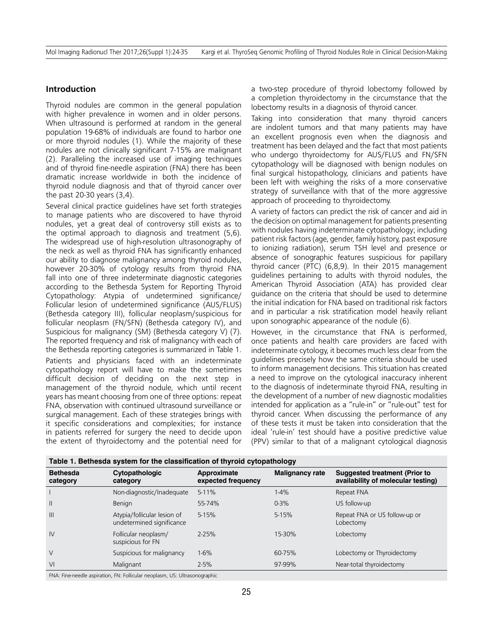### **Introduction**

Thyroid nodules are common in the general population with higher prevalence in women and in older persons. When ultrasound is performed at random in the general population 19-68% of individuals are found to harbor one or more thyroid nodules (1). While the majority of these nodules are not clinically significant 7-15% are malignant (2). Paralleling the increased use of imaging techniques and of thyroid fine-needle aspiration (FNA) there has been dramatic increase worldwide in both the incidence of thyroid nodule diagnosis and that of thyroid cancer over the past 20-30 years (3,4).

Several clinical practice guidelines have set forth strategies to manage patients who are discovered to have thyroid nodules, yet a great deal of controversy still exists as to the optimal approach to diagnosis and treatment (5,6). The widespread use of high-resolution ultrasonography of the neck as well as thyroid FNA has significantly enhanced our ability to diagnose malignancy among thyroid nodules, however 20-30% of cytology results from thyroid FNA fall into one of three indeterminate diagnostic categories according to the Bethesda System for Reporting Thyroid Cytopathology: Atypia of undetermined significance/ Follicular lesion of undetermined significance (AUS/FLUS) (Bethesda category III), follicular neoplasm/suspicious for follicular neoplasm (FN/SFN) (Bethesda category IV), and Suspicious for malignancy (SM) (Bethesda category V) (7). The reported frequency and risk of malignancy with each of the Bethesda reporting categories is summarized in Table 1. Patients and physicians faced with an indeterminate cytopathology report will have to make the sometimes difficult decision of deciding on the next step in management of the thyroid nodule, which until recent years has meant choosing from one of three options: repeat FNA, observation with continued ultrasound surveillance or surgical management. Each of these strategies brings with it specific considerations and complexities; for instance in patients referred for surgery the need to decide upon the extent of thyroidectomy and the potential need for a two-step procedure of thyroid lobectomy followed by a completion thyroidectomy in the circumstance that the lobectomy results in a diagnosis of thyroid cancer.

Taking into consideration that many thyroid cancers are indolent tumors and that many patients may have an excellent prognosis even when the diagnosis and treatment has been delayed and the fact that most patients who undergo thyroidectomy for AUS/FLUS and FN/SFN cytopathology will be diagnosed with benign nodules on final surgical histopathology, clinicians and patients have been left with weighing the risks of a more conservative strategy of surveillance with that of the more aggressive approach of proceeding to thyroidectomy.

A variety of factors can predict the risk of cancer and aid in the decision on optimal management for patients presenting with nodules having indeterminate cytopathology; including patient risk factors (age, gender, family history, past exposure to ionizing radiation), serum TSH level and presence or absence of sonographic features suspicious for papillary thyroid cancer (PTC) (6,8,9). In their 2015 management guidelines pertaining to adults with thyroid nodules, the American Thyroid Association (ATA) has provided clear guidance on the criteria that should be used to determine the initial indication for FNA based on traditional risk factors and in particular a risk stratification model heavily reliant upon sonographic appearance of the nodule (6).

However, in the circumstance that FNA is performed, once patients and health care providers are faced with indeterminate cytology, it becomes much less clear from the guidelines precisely how the same criteria should be used to inform management decisions. This situation has created a need to improve on the cytological inaccuracy inherent to the diagnosis of indeterminate thyroid FNA, resulting in the development of a number of new diagnostic modalities intended for application as a "rule-in" or "rule-out" test for thyroid cancer. When discussing the performance of any of these tests it must be taken into consideration that the ideal 'rule-in' test should have a positive predictive value (PPV) similar to that of a malignant cytological diagnosis

| <b>Bethesda</b><br>category | Cytopathologic<br>category                               | . .<br>Approximate<br>expected frequency | - -<br><b>Malignancy rate</b> | <b>Suggested treatment (Prior to</b><br>availability of molecular testing) |
|-----------------------------|----------------------------------------------------------|------------------------------------------|-------------------------------|----------------------------------------------------------------------------|
|                             | Non-diagnostic/Inadequate                                | $5-11%$                                  | $1-4%$                        | Repeat FNA                                                                 |
| $\mathbf{I}$                | Benign                                                   | 55-74%                                   | $0 - 3%$                      | US follow-up                                                               |
| III                         | Atypia/follicular lesion of<br>undetermined significance | $5 - 15%$                                | $5 - 15%$                     | Repeat FNA or US follow-up or<br>Lobectomy                                 |
| $\mathsf{IV}$               | Follicular neoplasm/<br>suspicious for FN                | $2 - 25%$                                | 15-30%                        | Lobectomy                                                                  |
| V                           | Suspicious for malignancy                                | 1-6%                                     | 60-75%                        | Lobectomy or Thyroidectomy                                                 |
| VI                          | Malignant                                                | $2 - 5%$                                 | 97-99%                        | Near-total thyroidectomy                                                   |

**Table 1. Bethesda system for the classification of thyroid cytopathology**

FNA: Fine-needle aspiration, FN: Follicular neoplasm, US: Ultrasonographic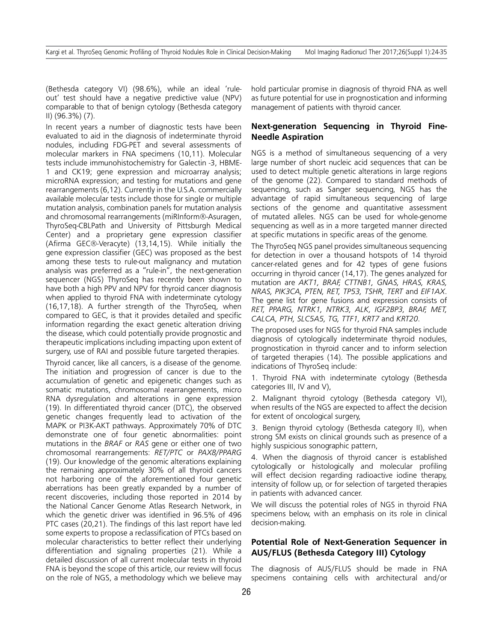(Bethesda category VI) (98.6%), while an ideal 'ruleout' test should have a negative predictive value (NPV) comparable to that of benign cytology (Bethesda category II) (96.3%) (7).

In recent years a number of diagnostic tests have been evaluated to aid in the diagnosis of indeterminate thyroid nodules, including FDG-PET and several assessments of molecular markers in FNA specimens (10,11). Molecular tests include immunohistochemistry for Galectin -3, HBME-1 and CK19; gene expression and microarray analysis; microRNA expression; and testing for mutations and gene rearrangements (6,12). Currently in the U.S.A. commercially available molecular tests include those for single or multiple mutation analysis, combination panels for mutation analysis and chromosomal rearrangements (miRInform®-Asuragen, ThyroSeq-CBLPath and University of Pittsburgh Medical Center) and a proprietary gene expression classifier (Afirma GEC®-Veracyte) (13,14,15). While initially the gene expression classifier (GEC) was proposed as the best among these tests to rule-out malignancy and mutation analysis was preferred as a "rule-in", the next-generation sequencer (NGS) ThyroSeq has recently been shown to have both a high PPV and NPV for thyroid cancer diagnosis when applied to thyroid FNA with indeterminate cytology (16,17,18). A further strength of the ThyroSeq, when compared to GEC, is that it provides detailed and specific information regarding the exact genetic alteration driving the disease, which could potentially provide prognostic and therapeutic implications including impacting upon extent of surgery, use of RAI and possible future targeted therapies.

Thyroid cancer, like all cancers, is a disease of the genome. The initiation and progression of cancer is due to the accumulation of genetic and epigenetic changes such as somatic mutations, chromosomal rearrangements, micro RNA dysregulation and alterations in gene expression (19). In differentiated thyroid cancer (DTC), the observed genetic changes frequently lead to activation of the MAPK or PI3K-AKT pathways. Approximately 70% of DTC demonstrate one of four genetic abnormalities: point mutations in the *BRAF* or *RAS* gene or either one of two chromosomal rearrangements: *RET/PTC* or *PAX8/PPARG* (19). Our knowledge of the genomic alterations explaining the remaining approximately 30% of all thyroid cancers not harboring one of the aforementioned four genetic aberrations has been greatly expanded by a number of recent discoveries, including those reported in 2014 by the National Cancer Genome Atlas Research Network, in which the genetic driver was identified in 96.5% of 496 PTC cases (20,21). The findings of this last report have led some experts to propose a reclassification of PTCs based on molecular characteristics to better reflect their underlying differentiation and signaling properties (21). While a detailed discussion of all current molecular tests in thyroid FNA is beyond the scope of this article, our review will focus on the role of NGS, a methodology which we believe may hold particular promise in diagnosis of thyroid FNA as well as future potential for use in prognostication and informing management of patients with thyroid cancer.

## **Next-generation Sequencing in Thyroid Fine-Needle Aspiration**

NGS is a method of simultaneous sequencing of a very large number of short nucleic acid sequences that can be used to detect multiple genetic alterations in large regions of the genome (22). Compared to standard methods of sequencing, such as Sanger sequencing, NGS has the advantage of rapid simultaneous sequencing of large sections of the genome and quantitative assessment of mutated alleles. NGS can be used for whole-genome sequencing as well as in a more targeted manner directed at specific mutations in specific areas of the genome.

The ThyroSeq NGS panel provides simultaneous sequencing for detection in over a thousand hotspots of 14 thyroid cancer-related genes and for 42 types of gene fusions occurring in thyroid cancer (14,17). The genes analyzed for mutation are *AKT1, BRAF, CTTNB1, GNAS, HRAS, KRAS, NRAS, PIK3CA, PTEN, RET, TP53, TSHR, TERT* and *EIF1AX*. The gene list for gene fusions and expression consists of *RET, PPARG, NTRK1, NTRK3, ALK, IGF2BP3, BRAF, MET, CALCA, PTH, SLC5A5, TG, TTF1, KRT7* and *KRT20*.

The proposed uses for NGS for thyroid FNA samples include diagnosis of cytologically indeterminate thyroid nodules, prognostication in thyroid cancer and to inform selection of targeted therapies (14). The possible applications and indications of ThyroSeq include:

1. Thyroid FNA with indeterminate cytology (Bethesda categories III, IV and V),

2. Malignant thyroid cytology (Bethesda category VI), when results of the NGS are expected to affect the decision for extent of oncological surgery,

3. Benign thyroid cytology (Bethesda category II), when strong SM exists on clinical grounds such as presence of a highly suspicious sonographic pattern,

4. When the diagnosis of thyroid cancer is established cytologically or histologically and molecular profiling will effect decision regarding radioactive iodine therapy, intensity of follow up, or for selection of targeted therapies in patients with advanced cancer.

We will discuss the potential roles of NGS in thyroid FNA specimens below, with an emphasis on its role in clinical decision-making.

## **Potential Role of Next-Generation Sequencer in AUS/FLUS (Bethesda Category III) Cytology**

The diagnosis of AUS/FLUS should be made in FNA specimens containing cells with architectural and/or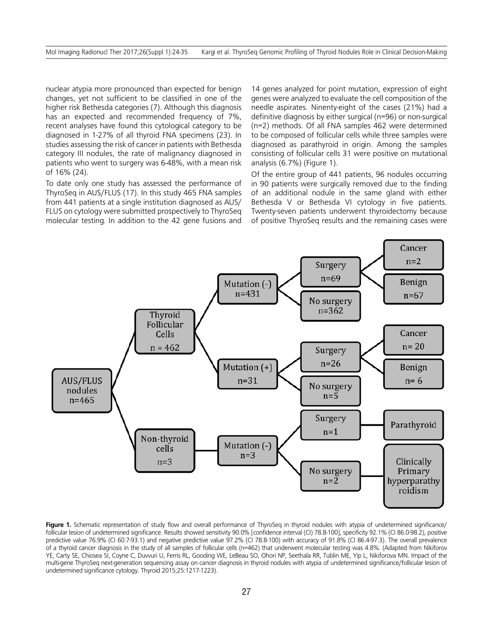nuclear atypia more pronounced than expected for benign changes, yet not sufficient to be classified in one of the higher risk Bethesda categories (7). Although this diagnosis has an expected and recommended frequency of 7%, recent analyses have found this cytological category to be diagnosed in 1-27% of all thyroid FNA specimens (23). In studies assessing the risk of cancer in patients with Bethesda category III nodules, the rate of malignancy diagnosed in patients who went to surgery was 6-48%, with a mean risk of 16% (24).

To date only one study has assessed the performance of ThyroSeq in AUS/FLUS (17). In this study 465 FNA samples from 441 patients at a single institution diagnosed as AUS/ FLUS on cytology were submitted prospectively to ThyroSeq molecular testing. In addition to the 42 gene fusions and 14 genes analyzed for point mutation, expression of eight genes were analyzed to evaluate the cell composition of the needle aspirates. Ninenty-eight of the cases (21%) had a definitive diagnosis by either surgical (n=96) or non-surgical (n=2) methods. Of all FNA samples 462 were determined to be composed of follicular cells while three samples were diagnosed as parathyroid in origin. Among the samples consisting of follicular cells 31 were positive on mutational analysis (6.7%) (Figure 1).

Of the entire group of 441 patients, 96 nodules occurring in 90 patients were surgically removed due to the finding of an additional nodule in the same gland with either Bethesda V or Bethesda VI cytology in five patients. Twenty-seven patients underwent thyroidectomy because of positive ThyroSeq results and the remaining cases were



Figure 1. Schematic representation of study flow and overall performance of ThyroSeq in thyroid nodules with atypia of undetermined significance/ follicular lesion of undetermined significance. Results showed sensitivity 90.0% [confidence interval (CI) 78.8-100], specificity 92.1% (CI 86.0-98.2), positive predictive value 76.9% (CI 60.7-93.1) and negative predictive value 97.2% (CI 78.8-100) with accuracy of 91.8% (CI 86.4-97.3). The overall prevalence of a thyroid cancer diagnosis in the study of all samples of follicular cells (n=462) that underwent molecular testing was 4.8%. (Adapted from Nikiforov YE, Carty SE, Chiosea SI, Coyne C, Duvvuri U, Ferris RL, Gooding WE, LeBeau SO, Ohori NP, Seethala RR, Tublin ME, Yip L, Nikiforova MN. Impact of the multi-gene ThyroSeq next-generation sequencing assay on cancer diagnosis in thyroid nodules with atypia of undetermined significance/follicular lesion of undetermined significance cytology. Thyroid 2015;25:1217-1223).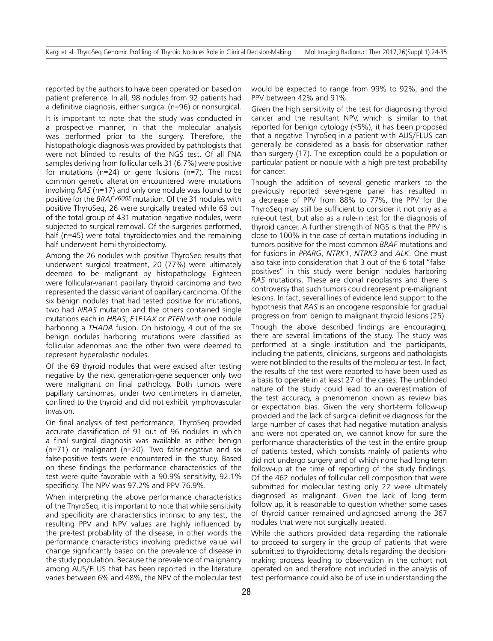reported by the authors to have been operated on based on patient preference. In all, 98 nodules from 92 patients had a definitive diagnosis, either surgical (n=96) or nonsurgical.

It is important to note that the study was conducted in a prospective manner, in that the molecular analysis was performed prior to the surgery. Therefore, the histopathologic diagnosis was provided by pathologists that were not blinded to results of the NGS test. Of all FNA samples deriving from follicular cells 31 (6.7%) were positive for mutations (n=24) or gene fusions (n=7). The most common genetic alteration encountered were mutations involving *RAS* (n=17) and only one nodule was found to be positive for the *BRAFV600E* mutation. Of the 31 nodules with positive ThyroSeq, 26 were surgically treated while 69 out of the total group of 431 mutation negative nodules, were subjected to surgical removal. Of the surgeries performed, half (n=45) were total thyroidectomies and the remaining half underwent hemi-thyroidectomy.

Among the 26 nodules with positive ThyroSeq results that underwent surgical treatment, 20 (77%) were ultimately deemed to be malignant by histopathology. Eighteen were follicular-variant papillary thyroid carcinoma and two represented the classic variant of papillary carcinoma. Of the six benign nodules that had tested positive for mutations, two had *NRAS* mutation and the others contained single mutations each in *HRAS*, *E1F1AX* or *PTEN* with one nodule harboring a *THADA* fusion. On histology, 4 out of the six benign nodules harboring mutations were classified as follicular adenomas and the other two were deemed to represent hyperplastic nodules.

Of the 69 thyroid nodules that were excised after testing negative by the next generation-gene sequencer only two were malignant on final pathology. Both tumors were papillary carcinomas, under two centimeters in diameter, confined to the thyroid and did not exhibit lymphovascular invasion.

On final analysis of test performance, ThyroSeq provided accurate classification of 91 out of 96 nodules in which a final surgical diagnosis was available as either benign (n=71) or malignant (n=20). Two false-negative and six false-positive tests were encountered in the study. Based on these findings the performance characteristics of the test were quite favorable with a 90.9% sensitivity, 92.1% specificity. The NPV was 97.2% and PPV 76.9%.

When interpreting the above performance characteristics of the ThyroSeq, it is important to note that while sensitivity and specificity are characteristics intrinsic to any test, the resulting PPV and NPV values are highly influenced by the pre-test probability of the disease, in other words the performance characteristics involving predictive value will change significantly based on the prevalence of disease in the study population. Because the prevalence of malignancy among AUS/FLUS that has been reported in the literature varies between 6% and 48%, the NPV of the molecular test would be expected to range from 99% to 92%, and the PPV between 42% and 91%.

Given the high sensitivity of the test for diagnosing thyroid cancer and the resultant NPV, which is similar to that reported for benign cytology (<5%), it has been proposed that a negative ThyroSeq in a patient with AUS/FLUS can generally be considered as a basis for observation rather than surgery (17). The exception could be a population or particular patient or nodule with a high pre-test probability for cancer.

Though the addition of several genetic markers to the previously reported seven-gene panel has resulted in a decrease of PPV from 88% to 77%, the PPV for the ThyroSeq may still be sufficient to consider it not only as a rule-out test, but also as a rule-in test for the diagnosis of thyroid cancer. A further strength of NGS is that the PPV is close to 100% in the case of certain mutations including in tumors positive for the most common *BRAF* mutations and for fusions in *PPARG*, *NTRK1*, *NTRK3* and *ALK*. One must also take into consideration that 3 out of the 6 total "falsepositives" in this study were benign nodules harboring *RAS* mutations. These are clonal neoplasms and there is controversy that such tumors could represent pre-malignant lesions. In fact, several lines of evidence lend support to the hypothesis that *RAS* is an oncogene responsible for gradual progression from benign to malignant thyroid lesions (25).

Though the above described findings are encouraging, there are several limitations of the study. The study was performed at a single institution and the participants, including the patients, clinicians, surgeons and pathologists were not blinded to the results of the molecular test. In fact, the results of the test were reported to have been used as a basis to operate in at least 27 of the cases. The unblinded nature of the study could lead to an overestimation of the test accuracy, a phenomenon known as review bias or expectation bias. Given the very short-term follow-up provided and the lack of surgical definitive diagnosis for the large number of cases that had negative mutation analysis and were not operated on, we cannot know for sure the performance characteristics of the test in the entire group of patients tested, which consists mainly of patients who did not undergo surgery and of which none had long-term follow-up at the time of reporting of the study findings. Of the 462 nodules of follicular cell composition that were submitted for molecular testing only 22 were ultimately diagnosed as malignant. Given the lack of long term follow up, it is reasonable to question whether some cases of thyroid cancer remained undiagnosed among the 367 nodules that were not surgically treated.

While the authors provided data regarding the rationale to proceed to surgery in the group of patients that were submitted to thyroidectomy, details regarding the decisionmaking process leading to observation in the cohort not operated on and therefore not included in the analysis of test performance could also be of use in understanding the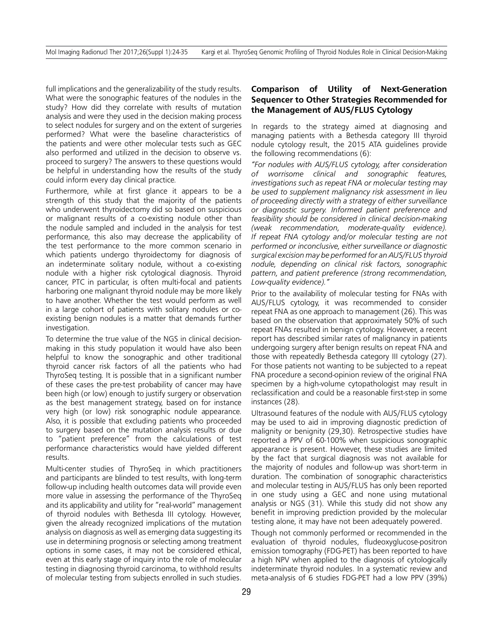full implications and the generalizability of the study results. What were the sonographic features of the nodules in the study? How did they correlate with results of mutation analysis and were they used in the decision making process to select nodules for surgery and on the extent of surgeries performed? What were the baseline characteristics of the patients and were other molecular tests such as GEC also performed and utilized in the decision to observe vs. proceed to surgery? The answers to these questions would be helpful in understanding how the results of the study could inform every day clinical practice.

Furthermore, while at first glance it appears to be a strength of this study that the majority of the patients who underwent thyroidectomy did so based on suspicious or malignant results of a co-existing nodule other than the nodule sampled and included in the analysis for test performance, this also may decrease the applicability of the test performance to the more common scenario in which patients undergo thyroidectomy for diagnosis of an indeterminate solitary nodule, without a co-existing nodule with a higher risk cytological diagnosis. Thyroid cancer, PTC in particular, is often multi-focal and patients harboring one malignant thyroid nodule may be more likely to have another. Whether the test would perform as well in a large cohort of patients with solitary nodules or coexisting benign nodules is a matter that demands further investigation.

To determine the true value of the NGS in clinical decisionmaking in this study population it would have also been helpful to know the sonographic and other traditional thyroid cancer risk factors of all the patients who had ThyroSeq testing. It is possible that in a significant number of these cases the pre-test probability of cancer may have been high (or low) enough to justify surgery or observation as the best management strategy, based on for instance very high (or low) risk sonographic nodule appearance. Also, it is possible that excluding patients who proceeded to surgery based on the mutation analysis results or due to "patient preference" from the calculations of test performance characteristics would have yielded different results.

Multi-center studies of ThyroSeq in which practitioners and participants are blinded to test results, with long-term follow-up including health outcomes data will provide even more value in assessing the performance of the ThyroSeq and its applicability and utility for "real-world" management of thyroid nodules with Bethesda III cytology. However, given the already recognized implications of the mutation analysis on diagnosis as well as emerging data suggesting its use in determining prognosis or selecting among treatment options in some cases, it may not be considered ethical, even at this early stage of inquiry into the role of molecular testing in diagnosing thyroid carcinoma, to withhold results of molecular testing from subjects enrolled in such studies.

## **Comparison of Utility of Next-Generation Sequencer to Other Strategies Recommended for the Management of AUS/FLUS Cytology**

In regards to the strategy aimed at diagnosing and managing patients with a Bethesda category III thyroid nodule cytology result, the 2015 ATA guidelines provide the following recommendations (6):

*"For nodules with AUS/FLUS cytology, after consideration of worrisome clinical and sonographic features, investigations such as repeat FNA or molecular testing may be used to supplement malignancy risk assessment in lieu of proceeding directly with a strategy of either surveillance or diagnostic surgery. Informed patient preference and feasibility should be considered in clinical decision-making (weak recommendation, moderate-quality evidence). If repeat FNA cytology and/or molecular testing are not performed or inconclusive, either surveillance or diagnostic surgical excision may be performed for an AUS/FLUS thyroid nodule, depending on clinical risk factors, sonographic pattern, and patient preference (strong recommendation, Low-quality evidence)."*

Prior to the availability of molecular testing for FNAs with AUS/FLUS cytology, it was recommended to consider repeat FNA as one approach to management (26). This was based on the observation that approximately 50% of such repeat FNAs resulted in benign cytology. However, a recent report has described similar rates of malignancy in patients undergoing surgery after benign results on repeat FNA and those with repeatedly Bethesda category III cytology (27). For those patients not wanting to be subjected to a repeat FNA procedure a second-opinion review of the original FNA specimen by a high-volume cytopathologist may result in reclassification and could be a reasonable first-step in some instances (28).

Ultrasound features of the nodule with AUS/FLUS cytology may be used to aid in improving diagnostic prediction of malignity or benignity (29,30). Retrospective studies have reported a PPV of 60-100% when suspicious sonographic appearance is present. However, these studies are limited by the fact that surgical diagnosis was not available for the majority of nodules and follow-up was short-term in duration. The combination of sonographic characteristics and molecular testing in AUS/FLUS has only been reported in one study using a GEC and none using mutational analysis or NGS (31). While this study did not show any benefit in improving prediction provided by the molecular testing alone, it may have not been adequately powered.

Though not commonly performed or recommended in the evaluation of thyroid nodules, fludeoxyglucose-positron emission tomography (FDG-PET) has been reported to have a high NPV when applied to the diagnosis of cytologically indeterminate thyroid nodules. In a systematic review and meta-analysis of 6 studies FDG-PET had a low PPV (39%)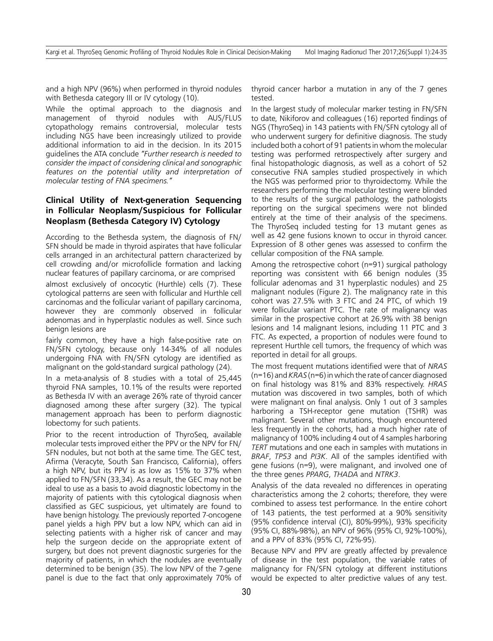and a high NPV (96%) when performed in thyroid nodules with Bethesda category III or IV cytology (10).

While the optimal approach to the diagnosis and management of thyroid nodules with AUS/FLUS cytopathology remains controversial, molecular tests including NGS have been increasingly utilized to provide additional information to aid in the decision. In its 2015 guidelines the ATA conclude *"Further research is needed to consider the impact of considering clinical and sonographic features on the potential utility and interpretation of molecular testing of FNA specimens."*

# **Clinical Utility of Next-generation Sequencing in Follicular Neoplasm/Suspicious for Follicular Neoplasm (Bethesda Category IV) Cytology**

According to the Bethesda system, the diagnosis of FN/ SFN should be made in thyroid aspirates that have follicular cells arranged in an architectural pattern characterized by cell crowding and/or microfollicle formation and lacking nuclear features of papillary carcinoma, or are comprised

almost exclusively of oncocytic (Hurthle) cells (7). These cytological patterns are seen with follicular and Hurthle cell carcinomas and the follicular variant of papillary carcinoma, however they are commonly observed in follicular adenomas and in hyperplastic nodules as well. Since such benign lesions are

fairly common, they have a high false-positive rate on FN/SFN cytology, because only 14-34% of all nodules undergoing FNA with FN/SFN cytology are identified as malignant on the gold-standard surgical pathology (24).

In a meta-analysis of 8 studies with a total of 25,445 thyroid FNA samples, 10.1% of the results were reported as Bethesda IV with an average 26% rate of thyroid cancer diagnosed among these after surgery (32). The typical management approach has been to perform diagnostic lobectomy for such patients.

Prior to the recent introduction of ThyroSeq, available molecular tests improved either the PPV or the NPV for FN/ SFN nodules, but not both at the same time. The GEC test, Afirma (Veracyte, South San Francisco, California), offers a high NPV, but its PPV is as low as 15% to 37% when applied to FN/SFN (33,34). As a result, the GEC may not be ideal to use as a basis to avoid diagnostic lobectomy in the majority of patients with this cytological diagnosis when classified as GEC suspicious, yet ultimately are found to have benign histology. The previously reported 7-oncogene panel yields a high PPV but a low NPV, which can aid in selecting patients with a higher risk of cancer and may help the surgeon decide on the appropriate extent of surgery, but does not prevent diagnostic surgeries for the majority of patients, in which the nodules are eventually determined to be benign (35). The low NPV of the 7-gene panel is due to the fact that only approximately 70% of

thyroid cancer harbor a mutation in any of the 7 genes tested.

In the largest study of molecular marker testing in FN/SFN to date, Nikiforov and colleagues (16) reported findings of NGS (ThyroSeq) in 143 patients with FN/SFN cytology all of who underwent surgery for definitive diagnosis. The study included both a cohort of 91 patients in whom the molecular testing was performed retrospectively after surgery and final histopathologic diagnosis, as well as a cohort of 52 consecutive FNA samples studied prospectively in which the NGS was performed prior to thyroidectomy. While the researchers performing the molecular testing were blinded to the results of the surgical pathology, the pathologists reporting on the surgical specimens were not blinded entirely at the time of their analysis of the specimens. The ThyroSeq included testing for 13 mutant genes as well as 42 gene fusions known to occur in thyroid cancer. Expression of 8 other genes was assessed to confirm the cellular composition of the FNA sample.

Among the retrospective cohort (n=91) surgical pathology reporting was consistent with 66 benign nodules (35 follicular adenomas and 31 hyperplastic nodules) and 25 malignant nodules (Figure 2). The malignancy rate in this cohort was 27.5% with 3 FTC and 24 PTC, of which 19 were follicular variant PTC. The rate of malignancy was similar in the prospective cohort at 26.9% with 38 benign lesions and 14 malignant lesions, including 11 PTC and 3 FTC. As expected, a proportion of nodules were found to represent Hurthle cell tumors, the frequency of which was reported in detail for all groups.

The most frequent mutations identified were that of *NRAS* (n=16) and *KRAS* (n=6) in which the rate of cancer diagnosed on final histology was 81% and 83% respectively. *HRAS* mutation was discovered in two samples, both of which were malignant on final analysis. Only 1 out of 3 samples harboring a TSH-receptor gene mutation (TSHR) was malignant. Several other mutations, though encountered less frequently in the cohorts, had a much higher rate of malignancy of 100% including 4 out of 4 samples harboring *TERT* mutations and one each in samples with mutations in *BRAF*, *TP53* and *PI3K*. All of the samples identified with gene fusions (n=9), were malignant, and involved one of the three genes *PPARG*, *THADA* and *NTRK3*.

Analysis of the data revealed no differences in operating characteristics among the 2 cohorts; therefore, they were combined to assess test performance. In the entire cohort of 143 patients, the test performed at a 90% sensitivity (95% confidence interval (CI), 80%-99%), 93% specificity (95% CI, 88%-98%), an NPV of 96% (95% CI, 92%-100%), and a PPV of 83% (95% CI, 72%-95).

Because NPV and PPV are greatly affected by prevalence of disease in the test population, the variable rates of malignancy for FN/SFN cytology at different institutions would be expected to alter predictive values of any test.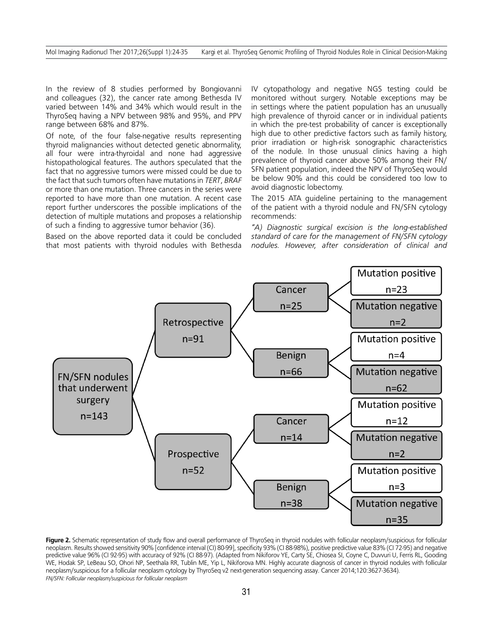In the review of 8 studies performed by Bongiovanni and colleagues (32), the cancer rate among Bethesda IV varied between 14% and 34% which would result in the ThyroSeq having a NPV between 98% and 95%, and PPV range between 68% and 87%.

Of note, of the four false-negative results representing thyroid malignancies without detected genetic abnormality, all four were intra-thyroidal and none had aggressive histopathological features. The authors speculated that the fact that no aggressive tumors were missed could be due to the fact that such tumors often have mutations in *TERT*, *BRAF* or more than one mutation. Three cancers in the series were reported to have more than one mutation. A recent case report further underscores the possible implications of the detection of multiple mutations and proposes a relationship of such a finding to aggressive tumor behavior (36).

Based on the above reported data it could be concluded that most patients with thyroid nodules with Bethesda IV cytopathology and negative NGS testing could be monitored without surgery. Notable exceptions may be in settings where the patient population has an unusually high prevalence of thyroid cancer or in individual patients in which the pre-test probability of cancer is exceptionally high due to other predictive factors such as family history, prior irradiation or high-risk sonographic characteristics of the nodule. In those unusual clinics having a high prevalence of thyroid cancer above 50% among their FN/ SFN patient population, indeed the NPV of ThyroSeq would be below 90% and this could be considered too low to avoid diagnostic lobectomy.

The 2015 ATA guideline pertaining to the management of the patient with a thyroid nodule and FN/SFN cytology recommends:

*"A) Diagnostic surgical excision is the long-established standard of care for the management of FN/SFN cytology nodules. However, after consideration of clinical and* 



Figure 2. Schematic representation of study flow and overall performance of ThyroSeq in thyroid nodules with follicular neoplasm/suspicious for follicular neoplasm. Results showed sensitivity 90% [confidence interval (CI) 80-99], specificity 93% (CI 88-98%), positive predictive value 83% (CI 72-95) and negative predictive value 96% (CI 92-95) with accuracy of 92% (CI 88-97). (Adapted from Nikiforov YE, Carty SE, Chiosea SI, Coyne C, Duvvuri U, Ferris RL, Gooding WE, Hodak SP, LeBeau SO, Ohori NP, Seethala RR, Tublin ME, Yip L, Nikiforova MN. Highly accurate diagnosis of cancer in thyroid nodules with follicular neoplasm/suspicious for a follicular neoplasm cytology by ThyroSeq v2 next-generation sequencing assay. Cancer 2014;120:3627-3634). *FN/SFN: Follicular neoplasm/suspicious for follicular neoplasm*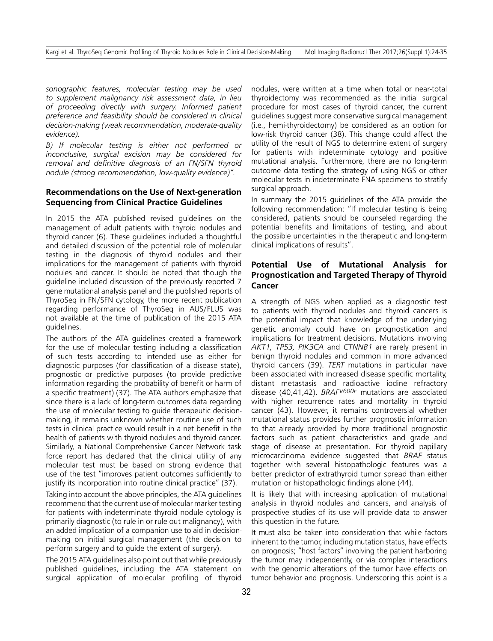*sonographic features, molecular testing may be used to supplement malignancy risk assessment data, in lieu of proceeding directly with surgery. Informed patient preference and feasibility should be considered in clinical decision-making (weak recommendation, moderate-quality evidence).*

*B) If molecular testing is either not performed or inconclusive, surgical excision may be considered for removal and definitive diagnosis of an FN/SFN thyroid nodule (strong recommendation, low-quality evidence)".*

## **Recommendations on the Use of Next-generation Sequencing from Clinical Practice Guidelines**

In 2015 the ATA published revised guidelines on the management of adult patients with thyroid nodules and thyroid cancer (6). These guidelines included a thoughtful and detailed discussion of the potential role of molecular testing in the diagnosis of thyroid nodules and their implications for the management of patients with thyroid nodules and cancer. It should be noted that though the guideline included discussion of the previously reported 7 gene mutational analysis panel and the published reports of ThyroSeq in FN/SFN cytology, the more recent publication regarding performance of ThyroSeq in AUS/FLUS was not available at the time of publication of the 2015 ATA guidelines.

The authors of the ATA guidelines created a framework for the use of molecular testing including a classification of such tests according to intended use as either for diagnostic purposes (for classification of a disease state), prognostic or predictive purposes (to provide predictive information regarding the probability of benefit or harm of a specific treatment) (37). The ATA authors emphasize that since there is a lack of long-term outcomes data regarding the use of molecular testing to guide therapeutic decisionmaking, it remains unknown whether routine use of such tests in clinical practice would result in a net benefit in the health of patients with thyroid nodules and thyroid cancer. Similarly, a National Comprehensive Cancer Network task force report has declared that the clinical utility of any molecular test must be based on strong evidence that use of the test "improves patient outcomes sufficiently to justify its incorporation into routine clinical practice" (37).

Taking into account the above principles, the ATA guidelines recommend that the current use of molecular marker testing for patients with indeterminate thyroid nodule cytology is primarily diagnostic (to rule in or rule out malignancy), with an added implication of a companion use to aid in decisionmaking on initial surgical management (the decision to perform surgery and to guide the extent of surgery).

The 2015 ATA guidelines also point out that while previously published guidelines, including the ATA statement on surgical application of molecular profiling of thyroid nodules, were written at a time when total or near-total thyroidectomy was recommended as the initial surgical procedure for most cases of thyroid cancer, the current guidelines suggest more conservative surgical management (i.e., hemi-thyroidectomy) be considered as an option for low-risk thyroid cancer (38). This change could affect the utility of the result of NGS to determine extent of surgery for patients with indeterminate cytology and positive mutational analysis. Furthermore, there are no long-term outcome data testing the strategy of using NGS or other molecular tests in indeterminate FNA specimens to stratify surgical approach.

In summary the 2015 guidelines of the ATA provide the following recommendation: "If molecular testing is being considered, patients should be counseled regarding the potential benefits and limitations of testing, and about the possible uncertainties in the therapeutic and long-term clinical implications of results".

# **Potential Use of Mutational Analysis for Prognostication and Targeted Therapy of Thyroid Cancer**

A strength of NGS when applied as a diagnostic test to patients with thyroid nodules and thyroid cancers is the potential impact that knowledge of the underlying genetic anomaly could have on prognostication and implications for treatment decisions. Mutations involving *AKT1, TP53, PIK3CA* and *CTNNB1* are rarely present in benign thyroid nodules and common in more advanced thyroid cancers (39). *TERT* mutations in particular have been associated with increased disease specific mortality, distant metastasis and radioactive iodine refractory disease (40,41,42). *BRAFV600E* mutations are associated with higher recurrence rates and mortality in thyroid cancer (43). However, it remains controversial whether mutational status provides further prognostic information to that already provided by more traditional prognostic factors such as patient characteristics and grade and stage of disease at presentation. For thyroid papillary microcarcinoma evidence suggested that *BRAF* status together with several histopathologic features was a better predictor of extrathyroid tumor spread than either mutation or histopathologic findings alone (44).

It is likely that with increasing application of mutational analysis in thyroid nodules and cancers, and analysis of prospective studies of its use will provide data to answer this question in the future.

It must also be taken into consideration that while factors inherent to the tumor, including mutation status, have effects on prognosis; "host factors" involving the patient harboring the tumor may independently, or via complex interactions with the genomic alterations of the tumor have effects on tumor behavior and prognosis. Underscoring this point is a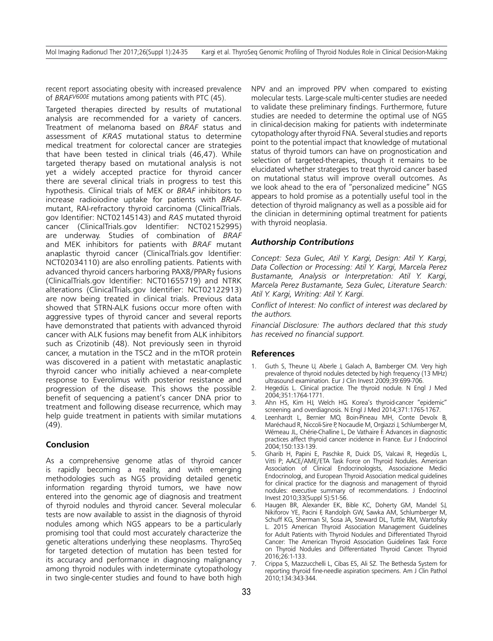recent report associating obesity with increased prevalence of *BRAFV600E* mutations among patients with PTC (45).

Targeted therapies directed by results of mutational analysis are recommended for a variety of cancers. Treatment of melanoma based on *BRAF* status and assessment of *KRAS* mutational status to determine medical treatment for colorectal cancer are strategies that have been tested in clinical trials (46,47). While targeted therapy based on mutational analysis is not yet a widely accepted practice for thyroid cancer there are several clinical trials in progress to test this hypothesis. Clinical trials of MEK or *BRAF* inhibitors to increase radioiodine uptake for patients with *BRAF*mutant, RAI-refractory thyroid carcinoma (ClinicalTrials. gov Identifier: NCT02145143) and *RAS* mutated thyroid cancer (ClinicalTrials.gov Identifier: NCT02152995) are underway. Studies of combination of *BRAF* and MEK inhibitors for patients with *BRAF* mutant anaplastic thyroid cancer (ClinicalTrials.gov Identifier: NCT02034110) are also enrolling patients. Patients with advanced thyroid cancers harboring PAX8/PPARγ fusions (ClinicalTrials.gov Identifier: NCT01655719) and NTRK alterations (ClinicalTrials.gov Identifier: NCT02122913) are now being treated in clinical trials. Previous data showed that STRN-ALK fusions occur more often with aggressive types of thyroid cancer and several reports have demonstrated that patients with advanced thyroid cancer with ALK fusions may benefit from ALK inhibitors such as Crizotinib (48). Not previously seen in thyroid cancer, a mutation in the TSC2 and in the mTOR protein was discovered in a patient with metastatic anaplastic thyroid cancer who initially achieved a near-complete response to Everolimus with posterior resistance and progression of the disease. This shows the possible benefit of sequencing a patient's cancer DNA prior to treatment and following disease recurrence, which may help guide treatment in patients with similar mutations (49).

## **Conclusion**

As a comprehensive genome atlas of thyroid cancer is rapidly becoming a reality, and with emerging methodologies such as NGS providing detailed genetic information regarding thyroid tumors, we have now entered into the genomic age of diagnosis and treatment of thyroid nodules and thyroid cancer. Several molecular tests are now available to assist in the diagnosis of thyroid nodules among which NGS appears to be a particularly promising tool that could most accurately characterize the genetic alterations underlying these neoplasms. ThyroSeq for targeted detection of mutation has been tested for its accuracy and performance in diagnosing malignancy among thyroid nodules with indeterminate cytopathology in two single-center studies and found to have both high NPV and an improved PPV when compared to existing molecular tests. Large-scale multi-center studies are needed to validate these preliminary findings. Furthermore, future studies are needed to determine the optimal use of NGS in clinical-decision making for patients with indeterminate cytopathology after thyroid FNA. Several studies and reports point to the potential impact that knowledge of mutational status of thyroid tumors can have on prognostication and selection of targeted-therapies, though it remains to be elucidated whether strategies to treat thyroid cancer based on mutational status will improve overall outcomes. As we look ahead to the era of "personalized medicine" NGS appears to hold promise as a potentially useful tool in the detection of thyroid malignancy as well as a possible aid for the clinician in determining optimal treatment for patients with thyroid neoplasia.

#### *Authorship Contributions*

*Concept: Seza Gulec, Atil Y. Kargi, Design: Atil Y. Kargi, Data Collection or Processing: Atil Y. Kargi, Marcela Perez Bustamante, Analysis or Interpretation: Atil Y. Kargi, Marcela Perez Bustamante, Seza Gulec, Literature Search: Atil Y. Kargi, Writing: Atil Y. Kargi.*

*Conflict of Interest: No conflict of interest was declared by the authors.*

*Financial Disclosure: The authors declared that this study has received no financial support.*

#### **References**

- 1. Guth S, Theune U, Aberle J, Galach A, Bamberger CM. Very high prevalence of thyroid nodules detected by high frequency (13 MHz) ultrasound examination. Eur J Clin Invest 2009;39:699-706.
- 2. Hegedüs L. Clinical practice. The thyroid nodule. N Engl J Med 2004;351:1764-1771.
- 3. Ahn HS, Kim HJ, Welch HG. Korea's thyroid-cancer "epidemic" screening and overdiagnosis. N Engl J Med 2014;371:1765-1767.
- 4. Leenhardt L, Bernier MO, Boin-Pineau MH, Conte Devolx B, Maréchaud R, Niccoli-Sire P, Nocaudie M, Orgiazzi J, Schlumberger M, Wémeau JL, Chérie-Challine L, De Vathaire F. Advances in diagnostic practices affect thyroid cancer incidence in France. Eur J Endocrinol 2004;150:133-139.
- 5. Gharib H, Papini E, Paschke R, Duick DS, Valcavi R, Hegedüs L, Vitti P; AACE/AME/ETA Task Force on Thyroid Nodules. American Association of Clinical Endocrinologists, Associazione Medici Endocrinologi, and European Thyroid Association medical guidelines for clinical practice for the diagnosis and management of thyroid nodules: executive summary of recommendations. J Endocrinol Invest 2010;33(Suppl 5):51-56.
- 6. Haugen BR, Alexander EK, Bible KC, Doherty GM, Mandel SJ, Nikiforov YE, Pacini F, Randolph GW, Sawka AM, Schlumberger M, Schuff KG, Sherman SI, Sosa JA, Steward DL, Tuttle RM, Wartofsky L. 2015 American Thyroid Association Management Guidelines for Adult Patients with Thyroid Nodules and Differentiated Thyroid Cancer: The American Thyroid Association Guidelines Task Force on Thyroid Nodules and Differentiated Thyroid Cancer. Thyroid 2016;26:1-133.
- 7. Crippa S, Mazzucchelli L, Cibas ES, Ali SZ. The Bethesda System for reporting thyroid fine-needle aspiration specimens. Am J Clin Pathol 2010;134:343-344.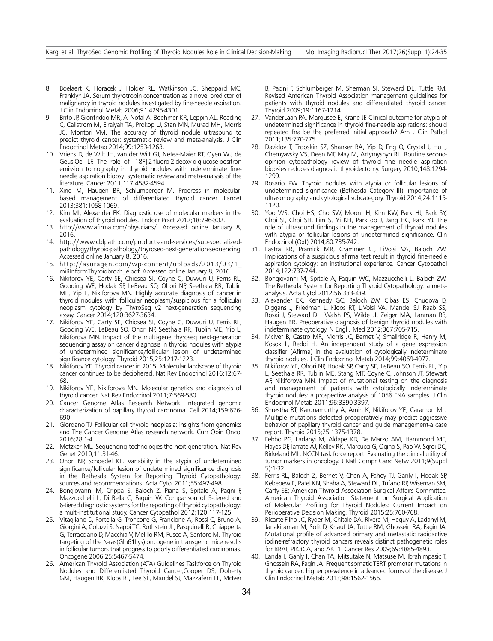- 8. Boelaert K, Horacek J, Holder RL, Watkinson JC, Sheppard MC, Franklyn JA. Serum thyrotropin concentration as a novel predictor of malignancy in thyroid nodules investigated by fine-needle aspiration. J Clin Endocrinol Metab 2006;91:4295-4301.
- Brito JP, Gionfriddo MR, Al Nofal A, Boehmer KR, Leppin AL, Reading C, Callstrom M, Elraiyah TA, Prokop LJ, Stan MN, Murad MH, Morris JC, Montori VM. The accuracy of thyroid nodule ultrasound to predict thyroid cancer: systematic review and meta-analysis. J Clin Endocrinol Metab 2014;99:1253-1263.
- 10. Vriens D, de Wilt JH, van der Wilt GJ, Netea-Maier RT, Oyen WJ, de Geus-Oei LF. The role of [18F]-2-fluoro-2-deoxy-d-glucose-positron emission tomography in thyroid nodules with indeterminate fineneedle aspiration biopsy: systematic review and meta-analysis of the literature. Cancer 2011;117:4582-4594.
- 11. Xing M, Haugen BR, Schlumberger M. Progress in molecularbased management of differentiated thyroid cancer. Lancet 2013;381:1058-1069.
- 12. Kim MI, Alexander EK. Diagnostic use of molecular markers in the evaluation of thyroid nodules. Endocr Pract 2012;18:796-802.
- 13. http://www.afirma.com/physicians/. Accessed online January 8, 2016.
- 14. http://www.cblpath.com/products-and-services/sub-specializedpathology/thyroid-pathology/thyroseq-next-generation-sequencing. Accessed online January 8, 2016.
- 15. http://asuragen.com/wp-content/uploads/2013/03/1\_ miRInformThyroidbroch\_e.pdf. Accessed online January 8, 2016
- 16. Nikiforov YE, Carty SE, Chiosea SI, Coyne C, Duvvuri U, Ferris RL, Gooding WE, Hodak SP, LeBeau SO, Ohori NP, Seethala RR, Tublin ME, Yip L, Nikiforova MN. Highly accurate diagnosis of cancer in thyroid nodules with follicular neoplasm/suspicious for a follicular neoplasm cytology by ThyroSeq v2 next-generation sequencing assay. Cancer 2014;120:3627-3634.
- 17. Nikiforov YE, Carty SE, Chiosea SI, Coyne C, Duvvuri U, Ferris RL, Gooding WE, LeBeau SO, Ohori NP, Seethala RR, Tublin ME, Yip L, Nikiforova MN. Impact of the multi-gene thyroseq next-generation sequencing assay on cancer diagnosis in thyroid nodules with atypia of undetermined significance/follicular lesion of undetermined significance cytology. Thyroid 2015;25:1217-1223.
- 18. Nikiforov YE. Thyroid cancer in 2015: Molecular landscape of thyroid cancer continues to be deciphered. Nat Rev Endocrinol 2016;12:67- 68.
- 19. Nikiforov YE, Nikiforova MN. Molecular genetics and diagnosis of thyroid cancer. Nat Rev Endocrinol 2011;7:569-580.
- 20. Cancer Genome Atlas Research Network. Integrated genomic characterization of papillary thyroid carcinoma. Cell 2014;159:676- 690.
- 21. Giordano TJ. Follicular cell thyroid neoplasia: insights from genomics and The Cancer Genome Atlas research network. Curr Opin Oncol 2016;28:1-4.
- 22. Metzker ML. Sequencing technologies-the next generation. Nat Rev Genet 2010;11:31-46.
- 23. Ohori NP, Schoedel KE. Variability in the atypia of undetermined significance/follicular lesion of undetermined significance diagnosis in the Bethesda System for Reporting Thyroid Cytopathology: sources and recommendations. Acta Cytol 2011;55:492-498.
- 24. Bongiovanni M, Crippa S, Baloch Z, Piana S, Spitale A, Pagni F, Mazzucchelli L, Di Bella C, Faquin W. Comparison of 5-tiered and 6-tiered diagnostic systems for the reporting of thyroid cytopathology: a multi-institutional study. Cancer Cytopathol 2012;120:117-125.
- 25. Vitagliano D, Portella G, Troncone G, Francione A, Rossi C, Bruno A, Giorgini A, Coluzzi S, Nappi TC, Rothstein JL, Pasquinelli R, Chiappetta G, Terracciano D, Macchia V, Melillo RM, Fusco A, Santoro M. Thyroid targeting of the N-ras(Gln61Lys) oncogene in transgenic mice results in follicular tumors that progress to poorly differentiated carcinomas. Oncogene 2006;25:5467-5474.
- 26. American Thyroid Association (ATA) Guidelines Taskforce on Thyroid Nodules and Differentiated Thyroid Cancer,Cooper DS, Doherty GM, Haugen BR, Kloos RT, Lee SL, Mandel SJ, Mazzaferri EL, McIver

B, Pacini F, Schlumberger M, Sherman SI, Steward DL, Tuttle RM. Revised American Thyroid Association management guidelines for patients with thyroid nodules and differentiated thyroid cancer. Thyroid 2009;19:1167-1214.

- 27. VanderLaan PA, Marqusee E, Krane JF. Clinical outcome for atypia of undetermined significance in thyroid fine-needle aspirations: should repeated fna be the preferred initial approach? Am J Clin Pathol 2011;135:770-775.
- 28. Davidov T, Trooskin SZ, Shanker BA, Yip D, Eng O, Crystal J, Hu J, Chernyavsky VS, Deen MF, May M, Artymyshyn RL. Routine secondopinion cytopathology review of thyroid fine needle aspiration biopsies reduces diagnostic thyroidectomy. Surgery 2010;148:1294- 1299.
- 29. Rosario PW. Thyroid nodules with atypia or follicular lesions of undetermined significance (Bethesda Category III): importance of ultrasonography and cytological subcategory. Thyroid 2014;24:1115- 1120.
- 30. Yoo WS, Choi HS, Cho SW, Moon JH, Kim KW, Park HJ, Park SY, Choi SI, Choi SH, Lim S, Yi KH, Park do J, Jang HC, Park YJ. The role of ultrasound findings in the management of thyroid nodules with atypia or follicular lesions of undetermined significance. Clin Endocrinol (Oxf) 2014;80:735-742.
- 31. Lastra RR, Pramick MR, Crammer CJ, LiVolsi VA, Baloch ZW. Implications of a suspicious afirma test result in thyroid fine-needle aspiration cytology: an institutional experience. Cancer Cytopathol 2014;122:737-744.
- 32. Bongiovanni M, Spitale A, Faquin WC, Mazzucchelli L, Baloch ZW. The Bethesda System for Reporting Thyroid Cytopathology: a metaanalysis. Acta Cytol 2012;56:333-339.
- 33. Alexander EK, Kennedy GC, Baloch ZW, Cibas ES, Chudova D, Diggans J, Friedman L, Kloos RT, LiVolsi VA, Mandel SJ, Raab SS, Rosai J, Steward DL, Walsh PS, Wilde JI, Zeiger MA, Lanman RB, Haugen BR. Preoperative diagnosis of benign thyroid nodules with indeterminate cytology. N Engl J Med 2012;367:705-715.
- 34. McIver B, Castro MR, Morris JC, Bernet V, Smallridge R, Henry M, Kosok L, Reddi H. An independent study of a gene expression classifier (Afirma) in the evaluation of cytologically indeterminate thyroid nodules. J Clin Endocrinol Metab 2014;99:4069-4077.
- 35. Nikiforov YE, Ohori NP, Hodak SP, Carty SE, LeBeau SO, Ferris RL, Yip L, Seethala RR, Tublin ME, Stang MT, Coyne C, Johnson JT, Stewart AF, Nikiforova MN. Impact of mutational testing on the diagnosis and management of patients with cytologically indeterminate thyroid nodules: a prospective analysis of 1056 FNA samples. J Clin Endocrinol Metab 2011;96:3390-3397.
- 36. Shrestha RT, Karunamurthy A, Amin K, Nikiforov YE, Caramori ML. Multiple mutations detected preoperatively may predict aggressive behavior of papillary thyroid cancer and guide management-a case report. Thyroid 2015;25:1375-1378.
- 37. Febbo PG, Ladanyi M, Aldape KD, De Marzo AM, Hammond ME, Hayes DF, Iafrate AJ, Kelley RK, Marcucci G, Ogino S, Pao W, Sgroi DC, Birkeland ML. NCCN task force report: Evaluating the clinical utility of tumor markers in oncology. J Natl Compr Canc Netw 2011;9(Suppl 5):1-32.
- 38. Ferris RL, Baloch Z, Bernet V, Chen A, Fahey TJ, Ganly I, Hodak SP, Kebebew E, Patel KN, Shaha A, Steward DL, Tufano RP, Wiseman SM, Carty SE; American Thyroid Association Surgical Affairs Committee. American Thyroid Association Statement on Surgical Application of Molecular Profiling for Thyroid Nodules: Current Impact on Perioperative Decision Making. Thyroid 2015;25:760-768.
- 39. Ricarte-Filho JC, Ryder M, Chitale DA, Rivera M, Heguy A, Ladanyi M, Janakiraman M, Solit D, Knauf JA, Tuttle RM, Ghossein RA, Fagin JA. Mutational profile of advanced primary and metastatic radioactive iodine-refractory thyroid cancers reveals distinct pathogenetic roles for BRAF, PIK3CA, and AKT1. Cancer Res 2009;69:4885-4893.
- 40. Landa I, Ganly I, Chan TA, Mitsutake N, Matsuse M, Ibrahimpasic T, Ghossein RA, Fagin JA. Frequent somatic TERT promoter mutations in thyroid cancer: higher prevalence in advanced forms of the disease. J Clin Endocrinol Metab 2013;98:1562-1566.